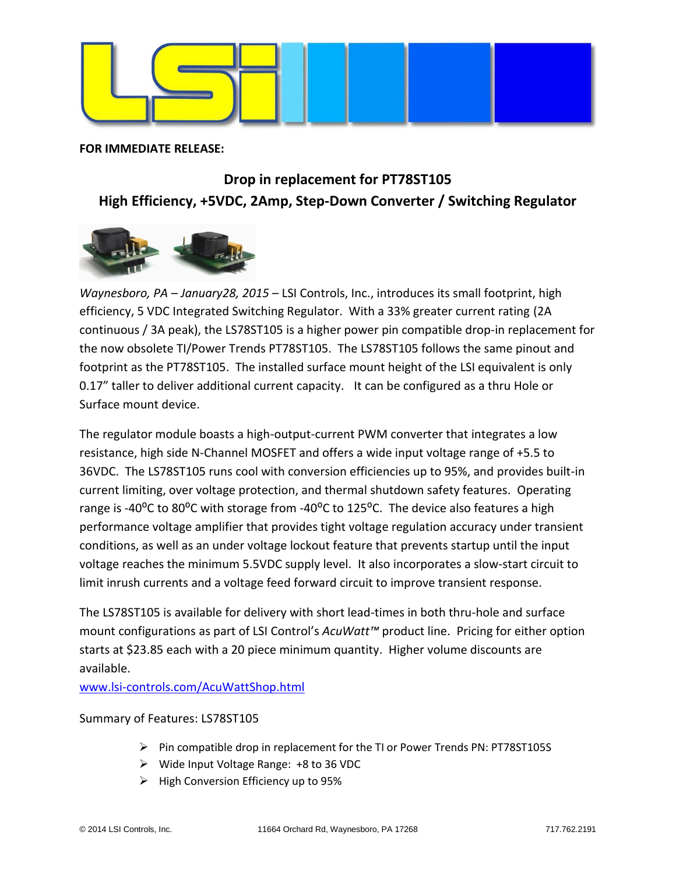

**FOR IMMEDIATE RELEASE:**

## **Drop in replacement for PT78ST105 High Efficiency, +5VDC, 2Amp, Step-Down Converter / Switching Regulator**



*Waynesboro, PA – January28, 2015* – LSI Controls, Inc., introduces its small footprint, high efficiency, 5 VDC Integrated Switching Regulator. With a 33% greater current rating (2A continuous / 3A peak), the LS78ST105 is a higher power pin compatible drop-in replacement for the now obsolete TI/Power Trends PT78ST105. The LS78ST105 follows the same pinout and footprint as the PT78ST105. The installed surface mount height of the LSI equivalent is only 0.17" taller to deliver additional current capacity. It can be configured as a thru Hole or Surface mount device.

The regulator module boasts a high-output-current PWM converter that integrates a low resistance, high side N-Channel MOSFET and offers a wide input voltage range of +5.5 to 36VDC. The LS78ST105 runs cool with conversion efficiencies up to 95%, and provides built-in current limiting, over voltage protection, and thermal shutdown safety features. Operating range is -40 $^{\circ}$ C to 80 $^{\circ}$ C with storage from -40 $^{\circ}$ C to 125 $^{\circ}$ C. The device also features a high performance voltage amplifier that provides tight voltage regulation accuracy under transient conditions, as well as an under voltage lockout feature that prevents startup until the input voltage reaches the minimum 5.5VDC supply level. It also incorporates a slow-start circuit to limit inrush currents and a voltage feed forward circuit to improve transient response.

The LS78ST105 is available for delivery with short lead-times in both thru-hole and surface mount configurations as part of LSI Control's *AcuWatt™* product line. Pricing for either option starts at \$23.85 each with a 20 piece minimum quantity. Higher volume discounts are available.

[www.lsi-controls.com/](http://www.lsi-controls.com/)AcuWattShop.html

## Summary of Features: LS78ST105

- Pin compatible drop in replacement for the TI or Power Trends PN: PT78ST105S
- Wide Input Voltage Range: +8 to 36 VDC
- $\triangleright$  High Conversion Efficiency up to 95%